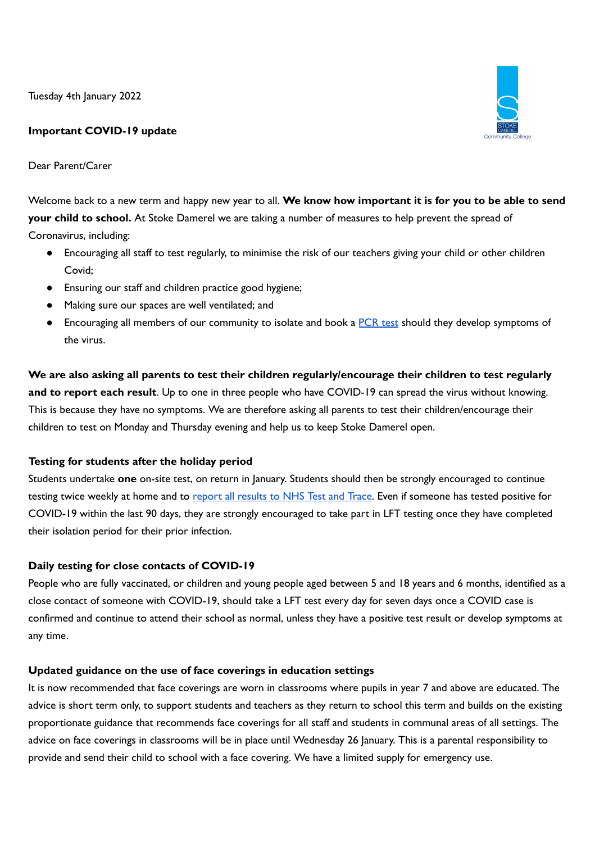Tuesday 4th January 2022

# **Important COVID-19 update**



Dear Parent/Carer

Welcome back to a new term and happy new year to all. **We know how important it is for you to be able to send your child to school.** At Stoke Damerel we are taking a number of measures to help prevent the spread of Coronavirus, including:

- Encouraging all staff to test regularly, to minimise the risk of our teachers giving your child or other children Covid;
- Ensuring our staff and children practice good hygiene;
- Making sure our spaces are well ventilated; and
- Encouraging all members of our community to isolate and book a [PCR](https://www.gov.uk/get-coronavirus-test) test should they develop symptoms of the virus.

**We are also asking all parents to test their children regularly/encourage their children to test regularly and to report each result**. Up to one in three people who have COVID-19 can spread the virus without knowing. This is because they have no symptoms. We are therefore asking all parents to test their children/encourage their children to test on Monday and Thursday evening and help us to keep Stoke Damerel open.

## **Testing for students after the holiday period**

Students undertake **one** on-site test, on return in January. Students should then be strongly encouraged to continue testing twice weekly at home and to report all [results](https://www.gov.uk/report-covid19-result?utm_source=2%20January%202022%20C19&utm_medium=Daily%20Email%20C19&utm_campaign=DfE%20C19) to NHS Test and Trace. Even if someone has tested positive for COVID-19 within the last 90 days, they are strongly encouraged to take part in LFT testing once they have completed their isolation period for their prior infection.

## **Daily testing for close contacts of COVID-19**

People who are fully vaccinated, or children and young people aged between 5 and 18 years and 6 months, identified as a close contact of someone with COVID-19, should take a LFT test every day for seven days once a COVID case is confirmed and continue to attend their school as normal, unless they have a positive test result or develop symptoms at any time.

## **Updated guidance on the use of face coverings in education settings**

It is now recommended that face coverings are worn in classrooms where pupils in year 7 and above are educated. The advice is short term only, to support students and teachers as they return to school this term and builds on the existing proportionate guidance that recommends face coverings for all staff and students in communal areas of all settings. The advice on face coverings in classrooms will be in place until Wednesday 26 January. This is a parental responsibility to provide and send their child to school with a face covering. We have a limited supply for emergency use.